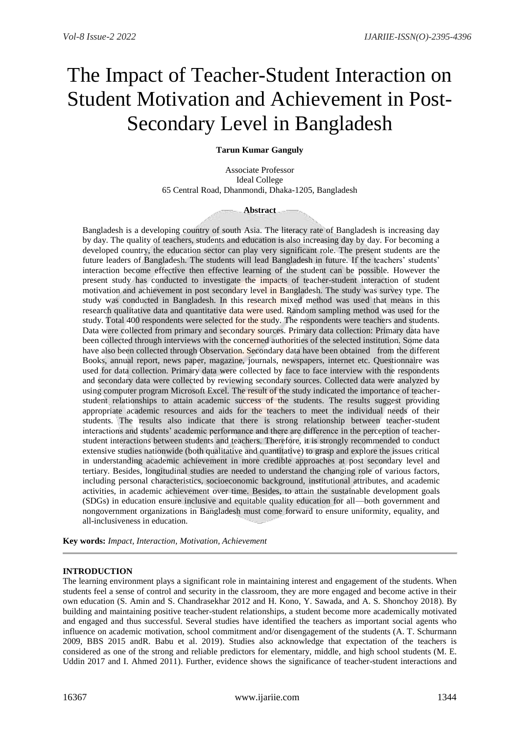# The Impact of Teacher-Student Interaction on Student Motivation and Achievement in Post-Secondary Level in Bangladesh

# **Tarun Kumar Ganguly**

Associate Professor Ideal College 65 Central Road, Dhanmondi, Dhaka-1205, Bangladesh

## **Abstract**

Bangladesh is a developing country of south Asia. The literacy rate of Bangladesh is increasing day by day. The quality of teachers, students and education is also increasing day by day. For becoming a developed country, the education sector can play very significant role. The present students are the future leaders of Bangladesh. The students will lead Bangladesh in future. If the teachers' students' interaction become effective then effective learning of the student can be possible. However the present study has conducted to investigate the impacts of teacher-student interaction of student motivation and achievement in post secondary level in Bangladesh. The study was survey type. The study was conducted in Bangladesh. In this research mixed method was used that means in this research qualitative data and quantitative data were used. Random sampling method was used for the study. Total 400 respondents were selected for the study. The respondents were teachers and students. Data were collected from primary and secondary sources. Primary data collection: Primary data have been collected through interviews with the concerned authorities of the selected institution. Some data have also been collected through Observation. Secondary data have been obtained from the different Books, annual report, news paper, magazine, journals, newspapers, internet etc. Questionnaire was used for data collection. Primary data were collected by face to face interview with the respondents and secondary data were collected by reviewing secondary sources. Collected data were analyzed by using computer program Microsoft Excel. The result of the study indicated the importance of teacherstudent relationships to attain academic success of the students. The results suggest providing appropriate academic resources and aids for the teachers to meet the individual needs of their students. The results also indicate that there is strong relationship between teacher-student interactions and students' academic performance and there are difference in the perception of teacherstudent interactions between students and teachers. Therefore, it is strongly recommended to conduct extensive studies nationwide (both qualitative and quantitative) to grasp and explore the issues critical in understanding academic achievement in more credible approaches at post secondary level and tertiary. Besides, longitudinal studies are needed to understand the changing role of various factors, including personal characteristics, socioeconomic background, institutional attributes, and academic activities, in academic achievement over time. Besides, to attain the sustainable development goals (SDGs) in education ensure inclusive and equitable quality education for all—both government and nongovernment organizations in Bangladesh must come forward to ensure uniformity, equality, and all-inclusiveness in education.

**Key words:** *Impact, Interaction, Motivation, Achievement*

# **INTRODUCTION**

The learning environment plays a significant role in maintaining interest and engagement of the students. When students feel a sense of control and security in the classroom, they are more engaged and become active in their own education (S. Amin and S. Chandrasekhar 2012 and H. Kono, Y. Sawada, and A. S. Shonchoy 2018). By building and maintaining positive teacher-student relationships, a student become more academically motivated and engaged and thus successful. Several studies have identified the teachers as important social agents who influence on academic motivation, school commitment and/or disengagement of the students (A. T. Schurmann 2009, BBS 2015 andR. Babu et al. 2019). Studies also acknowledge that expectation of the teachers is considered as one of the strong and reliable predictors for elementary, middle, and high school students (M. E. Uddin 2017 and I. Ahmed 2011). Further, evidence shows the significance of teacher-student interactions and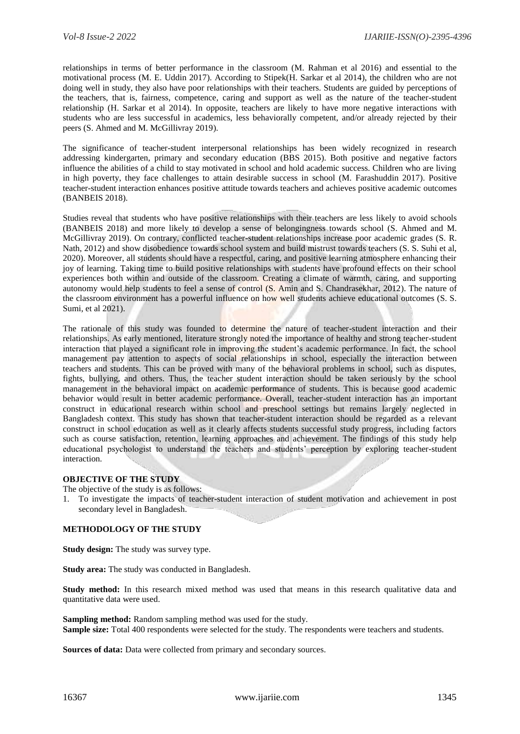relationships in terms of better performance in the classroom (M. Rahman et al 2016) and essential to the motivational process (M. E. Uddin 2017). According to Stipek(H. Sarkar et al 2014), the children who are not doing well in study, they also have poor relationships with their teachers. Students are guided by perceptions of the teachers, that is, fairness, competence, caring and support as well as the nature of the teacher-student relationship (H. Sarkar et al 2014). In opposite, teachers are likely to have more negative interactions with students who are less successful in academics, less behaviorally competent, and/or already rejected by their peers (S. Ahmed and M. McGillivray 2019).

The significance of teacher-student interpersonal relationships has been widely recognized in research addressing kindergarten, primary and secondary education (BBS 2015). Both positive and negative factors influence the abilities of a child to stay motivated in school and hold academic success. Children who are living in high poverty, they face challenges to attain desirable success in school (M. Farashuddin 2017). Positive teacher-student interaction enhances positive attitude towards teachers and achieves positive academic outcomes (BANBEIS 2018).

Studies reveal that students who have positive relationships with their teachers are less likely to avoid schools (BANBEIS 2018) and more likely to develop a sense of belongingness towards school (S. Ahmed and M. McGillivray 2019). On contrary, conflicted teacher-student relationships increase poor academic grades (S. R. Nath, 2012) and show disobedience towards school system and build mistrust towards teachers (S. S. Suhi et al, 2020). Moreover, all students should have a respectful, caring, and positive learning atmosphere enhancing their joy of learning. Taking time to build positive relationships with students have profound effects on their school experiences both within and outside of the classroom. Creating a climate of warmth, caring, and supporting autonomy would help students to feel a sense of control (S. Amin and S. Chandrasekhar, 2012). The nature of the classroom environment has a powerful influence on how well students achieve educational outcomes (S. S. Sumi, et al 2021).

The rationale of this study was founded to determine the nature of teacher-student interaction and their relationships. As early mentioned, literature strongly noted the importance of healthy and strong teacher-student interaction that played a significant role in improving the student's academic performance. In fact, the school management pay attention to aspects of social relationships in school, especially the interaction between teachers and students. This can be proved with many of the behavioral problems in school, such as disputes, fights, bullying, and others. Thus, the teacher student interaction should be taken seriously by the school management in the behavioral impact on academic performance of students. This is because good academic behavior would result in better academic performance. Overall, teacher-student interaction has an important construct in educational research within school and preschool settings but remains largely neglected in Bangladesh context. This study has shown that teacher-student interaction should be regarded as a relevant construct in school education as well as it clearly affects students successful study progress, including factors such as course satisfaction, retention, learning approaches and achievement. The findings of this study help educational psychologist to understand the teachers and students' perception by exploring teacher-student interaction.

## **OBJECTIVE OF THE STUDY**

The objective of the study is as follows:

1. To investigate the impacts of teacher-student interaction of student motivation and achievement in post secondary level in Bangladesh.

## **METHODOLOGY OF THE STUDY**

**Study design:** The study was survey type.

**Study area:** The study was conducted in Bangladesh.

**Study method:** In this research mixed method was used that means in this research qualitative data and quantitative data were used.

**Sampling method:** Random sampling method was used for the study. **Sample size:** Total 400 respondents were selected for the study. The respondents were teachers and students.

**Sources of data:** Data were collected from primary and secondary sources.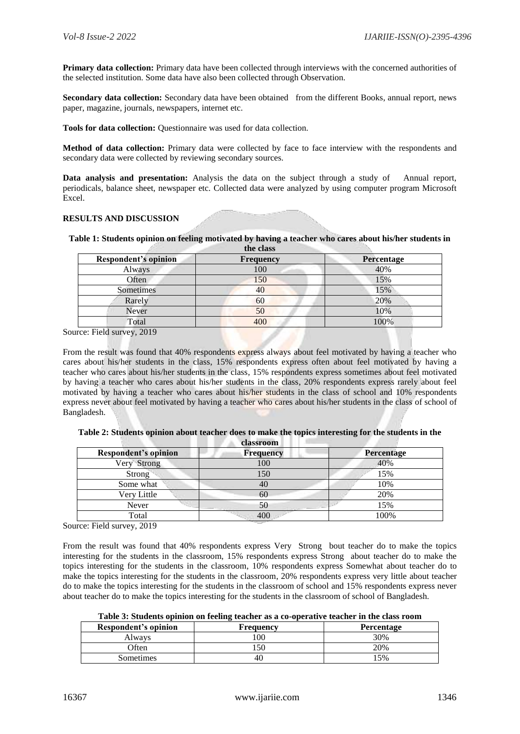**Primary data collection:** Primary data have been collected through interviews with the concerned authorities of the selected institution. Some data have also been collected through Observation.

**Secondary data collection:** Secondary data have been obtained from the different Books, annual report, news paper, magazine, journals, newspapers, internet etc.

**Tools for data collection:** Questionnaire was used for data collection.

**Method of data collection:** Primary data were collected by face to face interview with the respondents and secondary data were collected by reviewing secondary sources.

**Data analysis and presentation:** Analysis the data on the subject through a study of Annual report, periodicals, balance sheet, newspaper etc. Collected data were analyzed by using computer program Microsoft Excel.

#### **RESULTS AND DISCUSSION**

**Table 1: Students opinion on feeling motivated by having a teacher who cares about his/her students in the class**

| <b>Frequency</b> | Percentage |
|------------------|------------|
| 100              | 40%        |
| 150              | 15%        |
| 40               | 15%        |
| 60               | 20%        |
| 50               | 10%        |
| 400              | 100%       |
|                  |            |

Source: Field survey, 2019

From the result was found that 40% respondents express always about feel motivated by having a teacher who cares about his/her students in the class, 15% respondents express often about feel motivated by having a teacher who cares about his/her students in the class, 15% respondents express sometimes about feel motivated by having a teacher who cares about his/her students in the class, 20% respondents express rarely about feel motivated by having a teacher who cares about his/her students in the class of school and 10% respondents express never about feel motivated by having a teacher who cares about his/her students in the class of school of Bangladesh.

| ставзі общі                 |           |                   |
|-----------------------------|-----------|-------------------|
| <b>Respondent's opinion</b> | Frequency | <b>Percentage</b> |
| Very Strong                 | 100       | 40%               |
| <b>Strong</b>               | 150       | 15%               |
| Some what                   | 40        | 10%               |
| Very Little                 | 60        | 20%               |
| Never                       | 50        | 15%               |
| Total                       | 400       | 100%              |

**Table 2: Students opinion about teacher does to make the topics interesting for the students in the classroom**

Source: Field survey, 2019

From the result was found that 40% respondents express Very Strong bout teacher do to make the topics interesting for the students in the classroom, 15% respondents express Strong about teacher do to make the topics interesting for the students in the classroom, 10% respondents express Somewhat about teacher do to make the topics interesting for the students in the classroom, 20% respondents express very little about teacher do to make the topics interesting for the students in the classroom of school and 15% respondents express never about teacher do to make the topics interesting for the students in the classroom of school of Bangladesh.

| Respondent's opinion | <b>Frequency</b> | <b>Percentage</b> |
|----------------------|------------------|-------------------|
| Alwavs               | $00^{\circ}$     | 30%               |
| <b>Often</b>         |                  | 20%               |
| Sometimes            | 40.              | .5%               |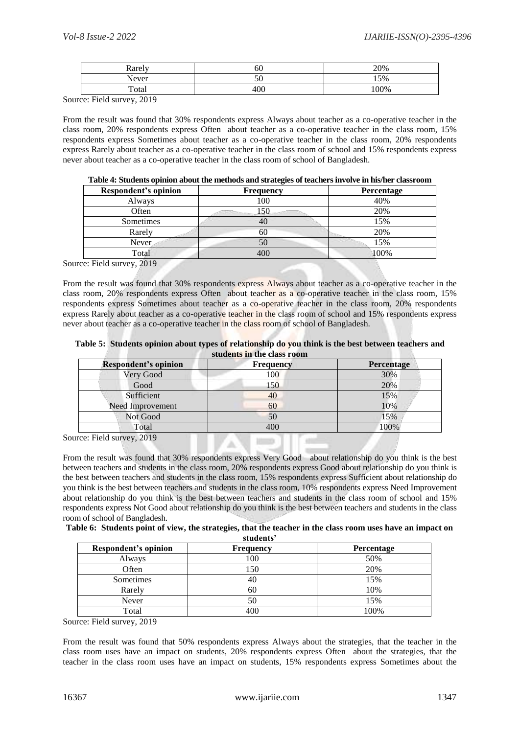| <b>Rarely</b> | σU  | 20%  |
|---------------|-----|------|
| Never         | JV. | 15%  |
| Total         | 400 | 100% |

Source: Field survey, 2019

From the result was found that 30% respondents express Always about teacher as a co-operative teacher in the class room, 20% respondents express Often about teacher as a co-operative teacher in the class room, 15% respondents express Sometimes about teacher as a co-operative teacher in the class room, 20% respondents express Rarely about teacher as a co-operative teacher in the class room of school and 15% respondents express never about teacher as a co-operative teacher in the class room of school of Bangladesh.

| Table 4: Students opinion about the methods and strategies of teachers involve in his/her classroom |                  |                   |  |
|-----------------------------------------------------------------------------------------------------|------------------|-------------------|--|
| Respondent's opinion                                                                                | <b>Frequency</b> | <b>Percentage</b> |  |

| Respondent's opinion | Frequency | <b>Percentage</b> |
|----------------------|-----------|-------------------|
| Always               | 100       | 40%               |
| Often                | 150       | 20%               |
| Sometimes            | 40        | 15%               |
| Rarely               | 60        | 20%               |
| Never                | 50        | 15%               |
| Total                | 400       | 100%              |
|                      |           |                   |

Source: Field survey, 2019

From the result was found that 30% respondents express Always about teacher as a co-operative teacher in the class room, 20% respondents express Often about teacher as a co-operative teacher in the class room, 15% respondents express Sometimes about teacher as a co-operative teacher in the class room, 20% respondents express Rarely about teacher as a co-operative teacher in the class room of school and 15% respondents express never about teacher as a co-operative teacher in the class room of school of Bangladesh.

| Table 5: Students opinion about types of relationship do you think is the best between teachers and |
|-----------------------------------------------------------------------------------------------------|
| students in the class room                                                                          |

| <b>Respondent's opinion</b> | <b>Frequency</b>                    | Percentage |
|-----------------------------|-------------------------------------|------------|
| Very Good                   | 100                                 | 30%        |
| Good                        | 150                                 | 20%        |
| Sufficient                  | 40                                  | 15%        |
| Need Improvement            | 60                                  | 10%        |
| Not Good                    | 50                                  | 15%        |
| Total                       | 400                                 | 100%       |
| rce: Field survey 2019      | the components of the components of |            |

Source: Field survey, 2019

From the result was found that 30% respondents express Very Good about relationship do you think is the best between teachers and students in the class room, 20% respondents express Good about relationship do you think is the best between teachers and students in the class room, 15% respondents express Sufficient about relationship do you think is the best between teachers and students in the class room, 10% respondents express Need Improvement about relationship do you think is the best between teachers and students in the class room of school and 15% respondents express Not Good about relationship do you think is the best between teachers and students in the class room of school of Bangladesh.

**Table 6: Students point of view, the strategies, that the teacher in the class room uses have an impact on students'**

| Respondent's opinion | <b>Frequency</b> | Percentage |
|----------------------|------------------|------------|
| Always               | 100              | 50%        |
| Often                | 150              | 20%        |
| Sometimes            | 40               | 15%        |
| Rarely               | 60               | 10%        |
| Never                | 50               | 15%        |
| Total                | 400              | 100%       |

Source: Field survey, 2019

From the result was found that 50% respondents express Always about the strategies, that the teacher in the class room uses have an impact on students, 20% respondents express Often about the strategies, that the teacher in the class room uses have an impact on students, 15% respondents express Sometimes about the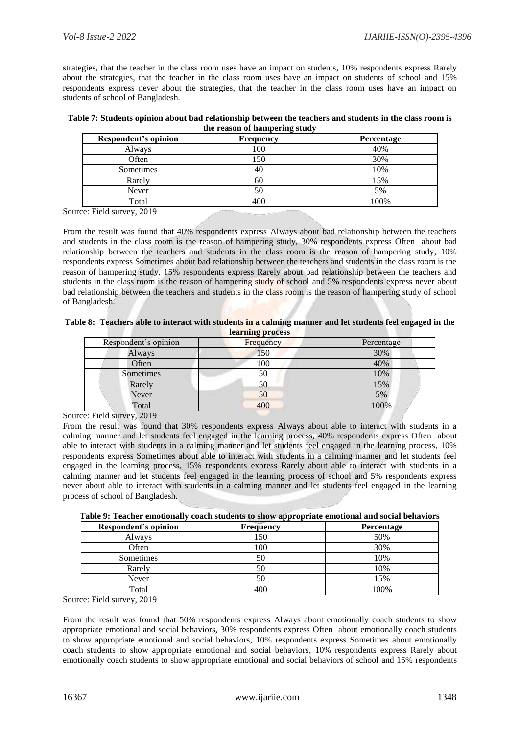strategies, that the teacher in the class room uses have an impact on students, 10% respondents express Rarely about the strategies, that the teacher in the class room uses have an impact on students of school and 15% respondents express never about the strategies, that the teacher in the class room uses have an impact on students of school of Bangladesh.

| Table 7: Students opinion about bad relationship between the teachers and students in the class room is |
|---------------------------------------------------------------------------------------------------------|
| the reason of hampering study                                                                           |

| Respondent's opinion | <b>Frequency</b> | Percentage |
|----------------------|------------------|------------|
| Always               | 100              | 40%        |
| Often                | 150              | 30%        |
| Sometimes            | 40               | 10%        |
| Rarely               | 60               | 15%        |
| Never                | 50               | 5%         |
| Total                |                  | 100%       |

Source: Field survey, 2019

From the result was found that 40% respondents express Always about bad relationship between the teachers and students in the class room is the reason of hampering study, 30% respondents express Often about bad relationship between the teachers and students in the class room is the reason of hampering study, 10% respondents express Sometimes about bad relationship between the teachers and students in the class room is the reason of hampering study, 15% respondents express Rarely about bad relationship between the teachers and students in the class room is the reason of hampering study of school and 5% respondents express never about bad relationship between the teachers and students in the class room is the reason of hampering study of school of Bangladesh.

|  | Table 8: Teachers able to interact with students in a calming manner and let students feel engaged in the |                  |  |  |  |
|--|-----------------------------------------------------------------------------------------------------------|------------------|--|--|--|
|  |                                                                                                           | learning process |  |  |  |

| Respondent's opinion | Frequency | Percentage |
|----------------------|-----------|------------|
| Always               | 150       | 30%        |
| Often                | 100       | 40%        |
| Sometimes            | 50        | 10%        |
| Rarely               | 50        | 15%        |
| Never                | 50        | 5%         |
| Total                | 400       | 100%       |

## Source: Field survey, 2019

From the result was found that 30% respondents express Always about able to interact with students in a calming manner and let students feel engaged in the learning process, 40% respondents express Often about able to interact with students in a calming manner and let students feel engaged in the learning process, 10% respondents express Sometimes about able to interact with students in a calming manner and let students feel engaged in the learning process, 15% respondents express Rarely about able to interact with students in a calming manner and let students feel engaged in the learning process of school and 5% respondents express never about able to interact with students in a calming manner and let students feel engaged in the learning process of school of Bangladesh.

|  | Table 9: Teacher emotionally coach students to show appropriate emotional and social behaviors |  |  |  |  |
|--|------------------------------------------------------------------------------------------------|--|--|--|--|
|  |                                                                                                |  |  |  |  |
|  |                                                                                                |  |  |  |  |
|  |                                                                                                |  |  |  |  |

| Respondent's opinion | ____<br>Frequency | <b>Percentage</b> |
|----------------------|-------------------|-------------------|
| Always               | 150               | 50%               |
| Often                | 100               | 30%               |
| Sometimes            | 50                | 10%               |
| Rarely               | 50                | 10%               |
| Never                | 50                | 15%               |
| Total                | 400               | 100%              |

Source: Field survey, 2019

From the result was found that 50% respondents express Always about emotionally coach students to show appropriate emotional and social behaviors, 30% respondents express Often about emotionally coach students to show appropriate emotional and social behaviors, 10% respondents express Sometimes about emotionally coach students to show appropriate emotional and social behaviors, 10% respondents express Rarely about emotionally coach students to show appropriate emotional and social behaviors of school and 15% respondents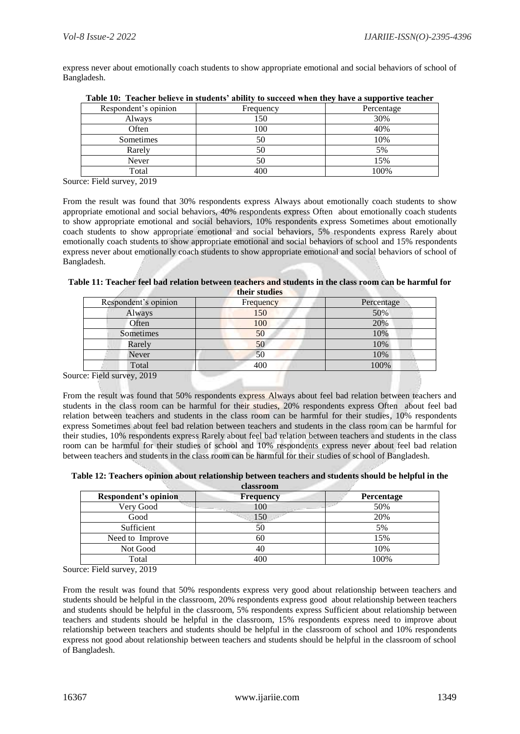express never about emotionally coach students to show appropriate emotional and social behaviors of school of Bangladesh.

| Respondent's opinion | Frequency | Percentage |
|----------------------|-----------|------------|
| Always               | 150       | 30%        |
| Often                | 100       | 40%        |
| Sometimes            | 50        | 10%        |
| Rarely               | 50        | 5%         |
| Never                | 50        | 15%        |
| Total                | 400       | 100%       |

| Table 10: Teacher believe in students' ability to succeed when they have a supportive teacher |  |  |
|-----------------------------------------------------------------------------------------------|--|--|
|-----------------------------------------------------------------------------------------------|--|--|

Source: Field survey, 2019

From the result was found that 30% respondents express Always about emotionally coach students to show appropriate emotional and social behaviors, 40% respondents express Often about emotionally coach students to show appropriate emotional and social behaviors, 10% respondents express Sometimes about emotionally coach students to show appropriate emotional and social behaviors, 5% respondents express Rarely about emotionally coach students to show appropriate emotional and social behaviors of school and 15% respondents express never about emotionally coach students to show appropriate emotional and social behaviors of school of Bangladesh.

| Table 11: Teacher feel bad relation between teachers and students in the class room can be harmful for |               |  |
|--------------------------------------------------------------------------------------------------------|---------------|--|
|                                                                                                        | their studies |  |

| Respondent's opinion | Frequency | Percentage |
|----------------------|-----------|------------|
| Always               | 150       | 50%        |
| Often                | 100       | 20%        |
| Sometimes            | 50        | 10%        |
| Rarely               | 50        | 10%        |
| Never                | 50        | 10%        |
| Total                | 400       | 100%       |
| _______              |           |            |

Source: Field survey, 2019

From the result was found that 50% respondents express Always about feel bad relation between teachers and students in the class room can be harmful for their studies, 20% respondents express Often about feel bad relation between teachers and students in the class room can be harmful for their studies, 10% respondents express Sometimes about feel bad relation between teachers and students in the class room can be harmful for their studies, 10% respondents express Rarely about feel bad relation between teachers and students in the class room can be harmful for their studies of school and 10% respondents express never about feel bad relation between teachers and students in the class room can be harmful for their studies of school of Bangladesh.

**Table 12: Teachers opinion about relationship between teachers and students should be helpful in the classroom**

| Respondent's opinion | <b>Frequency</b> | Percentage |
|----------------------|------------------|------------|
| Very Good            | 100              | 50%        |
| Good                 | 150              | 20%        |
| Sufficient           |                  | 5%         |
| Need to Improve      | 60               | 15%        |
| Not Good             |                  | 10%        |
| Total                | 400              | 100%       |

Source: Field survey, 2019

From the result was found that 50% respondents express very good about relationship between teachers and students should be helpful in the classroom, 20% respondents express good about relationship between teachers and students should be helpful in the classroom, 5% respondents express Sufficient about relationship between teachers and students should be helpful in the classroom, 15% respondents express need to improve about relationship between teachers and students should be helpful in the classroom of school and 10% respondents express not good about relationship between teachers and students should be helpful in the classroom of school of Bangladesh.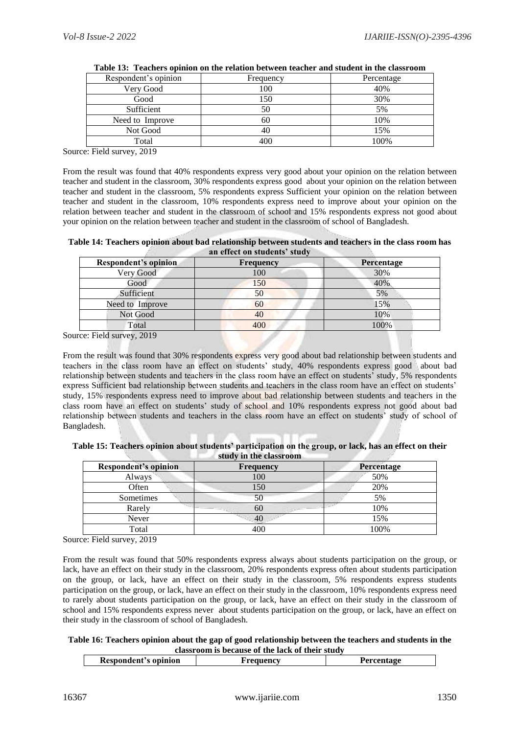| Respondent's opinion | Frequency | Percentage |
|----------------------|-----------|------------|
| Very Good            | 100       | 40%        |
| Good                 | 150       | 30%        |
| Sufficient           | 50        | 5%         |
| Need to Improve      | 60        | 10%        |
| Not Good             | 40        | 15%        |
| Total                | 400       | 100%       |

|  |  |  |  | Table 13: Teachers opinion on the relation between teacher and student in the classroom |  |
|--|--|--|--|-----------------------------------------------------------------------------------------|--|
|--|--|--|--|-----------------------------------------------------------------------------------------|--|

Source: Field survey, 2019

From the result was found that 40% respondents express very good about your opinion on the relation between teacher and student in the classroom, 30% respondents express good about your opinion on the relation between teacher and student in the classroom, 5% respondents express Sufficient your opinion on the relation between teacher and student in the classroom, 10% respondents express need to improve about your opinion on the relation between teacher and student in the classroom of school and 15% respondents express not good about your opinion on the relation between teacher and student in the classroom of school of Bangladesh.

**Table 14: Teachers opinion about bad relationship between students and teachers in the class room has an effect on students' study**

| <b>Respondent's opinion</b> | <b>Frequency</b> | <b>Percentage</b> |
|-----------------------------|------------------|-------------------|
| Very Good                   | 100              | 30%               |
| Good                        | 150              | 40%               |
| Sufficient                  | 50               | 5%                |
| Need to Improve             | 60               | 15%               |
| Not Good                    | 40               | 10%               |
| Total                       |                  | 100%              |

Source: Field survey, 2019

From the result was found that 30% respondents express very good about bad relationship between students and teachers in the class room have an effect on students' study, 40% respondents express good about bad relationship between students and teachers in the class room have an effect on students' study, 5% respondents express Sufficient bad relationship between students and teachers in the class room have an effect on students' study, 15% respondents express need to improve about bad relationship between students and teachers in the class room have an effect on students' study of school and 10% respondents express not good about bad relationship between students and teachers in the class room have an effect on students' study of school of Bangladesh.

| study in the classroom |                  |                   |  |  |
|------------------------|------------------|-------------------|--|--|
| Respondent's opinion   | <b>Frequency</b> | <b>Percentage</b> |  |  |
| Alwavs                 | 00               | 50%               |  |  |
| <b>Often</b>           |                  | 20%               |  |  |

Sometimes 50 5% Rarely  $60$  10% Never  $\vert$  40  $\vert$  15% Total 100%

| Table 15: Teachers opinion about students' participation on the group, or lack, has an effect on their |                        |  |
|--------------------------------------------------------------------------------------------------------|------------------------|--|
|                                                                                                        | study in the classroom |  |

| Source: Field survey, 2019                                                                                        |
|-------------------------------------------------------------------------------------------------------------------|
| From the result was found that 50% respondents express always about students participation on the group, or       |
| lack, have an effect on their study in the classroom, 20% respondents express often about students participation  |
| on the group, or lack, have an effect on their study in the classroom, 5% respondents express students            |
| participation on the group, or lack, have an effect on their study in the classroom, 10% respondents express need |
| to rarely about students participation on the group, or lack, have an effect on their study in the classroom of   |
| school and 15% respondents express never about students participation on the group, or lack, have an effect on    |

their study in the classroom of school of Bangladesh.

## **Table 16: Teachers opinion about the gap of good relationship between the teachers and students in the classroom is because of the lack of their study**

| opinion<br>$-$ construction $-$<br>Respor<br>וחי | iencv<br>the contract of the contract of the | $\sim$ $\sim$ $\sim$ |
|--------------------------------------------------|----------------------------------------------|----------------------|
|                                                  |                                              |                      |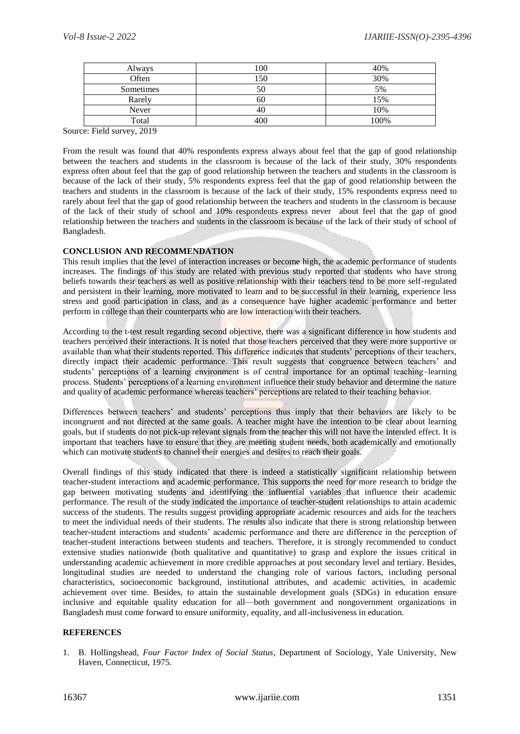| Always    | 100 | 40%  |
|-----------|-----|------|
| Often     | 50  | 30%  |
| Sometimes |     | 5%   |
| Rarely    |     | 15%  |
| Never     |     | 10%  |
| Total     | 400 | 100% |

Source: Field survey, 2019

From the result was found that 40% respondents express always about feel that the gap of good relationship between the teachers and students in the classroom is because of the lack of their study, 30% respondents express often about feel that the gap of good relationship between the teachers and students in the classroom is because of the lack of their study, 5% respondents express feel that the gap of good relationship between the teachers and students in the classroom is because of the lack of their study, 15% respondents express need to rarely about feel that the gap of good relationship between the teachers and students in the classroom is because of the lack of their study of school and 10% respondents express never about feel that the gap of good relationship between the teachers and students in the classroom is because of the lack of their study of school of Bangladesh.

## **CONCLUSION AND RECOMMENDATION**

This result implies that the level of interaction increases or become high, the academic performance of students increases. The findings of this study are related with previous study reported that students who have strong beliefs towards their teachers as well as positive relationship with their teachers tend to be more self-regulated and persistent in their learning, more motivated to learn and to be successful in their learning, experience less stress and good participation in class, and as a consequence have higher academic performance and better perform in college than their counterparts who are low interaction with their teachers.

According to the t-test result regarding second objective, there was a significant difference in how students and teachers perceived their interactions. It is noted that those teachers perceived that they were more supportive or available than what their students reported. This difference indicates that students' perceptions of their teachers, directly impact their academic performance. This result suggests that congruence between teachers' and students' perceptions of a learning environment is of central importance for an optimal teaching–learning process. Students' perceptions of a learning environment influence their study behavior and determine the nature and quality of academic performance whereas teachers' perceptions are related to their teaching behavior.

Differences between teachers' and students' perceptions thus imply that their behaviors are likely to be incongruent and not directed at the same goals. A teacher might have the intention to be clear about learning goals, but if students do not pick-up relevant signals from the teacher this will not have the intended effect. It is important that teachers have to ensure that they are meeting student needs, both academically and emotionally which can motivate students to channel their energies and desires to reach their goals.

Overall findings of this study indicated that there is indeed a statistically significant relationship between teacher-student interactions and academic performance. This supports the need for more research to bridge the gap between motivating students and identifying the influential variables that influence their academic performance. The result of the study indicated the importance of teacher-student relationships to attain academic success of the students. The results suggest providing appropriate academic resources and aids for the teachers to meet the individual needs of their students. The results also indicate that there is strong relationship between teacher-student interactions and students' academic performance and there are difference in the perception of teacher-student interactions between students and teachers. Therefore, it is strongly recommended to conduct extensive studies nationwide (both qualitative and quantitative) to grasp and explore the issues critical in understanding academic achievement in more credible approaches at post secondary level and tertiary. Besides, longitudinal studies are needed to understand the changing role of various factors, including personal characteristics, socioeconomic background, institutional attributes, and academic activities, in academic achievement over time. Besides, to attain the sustainable development goals (SDGs) in education ensure inclusive and equitable quality education for all—both government and nongovernment organizations in Bangladesh must come forward to ensure uniformity, equality, and all-inclusiveness in education.

# **REFERENCES**

1. B. Hollingshead, *Four Factor Index of Social Status*, Department of Sociology, Yale University, New Haven, Connecticut, 1975.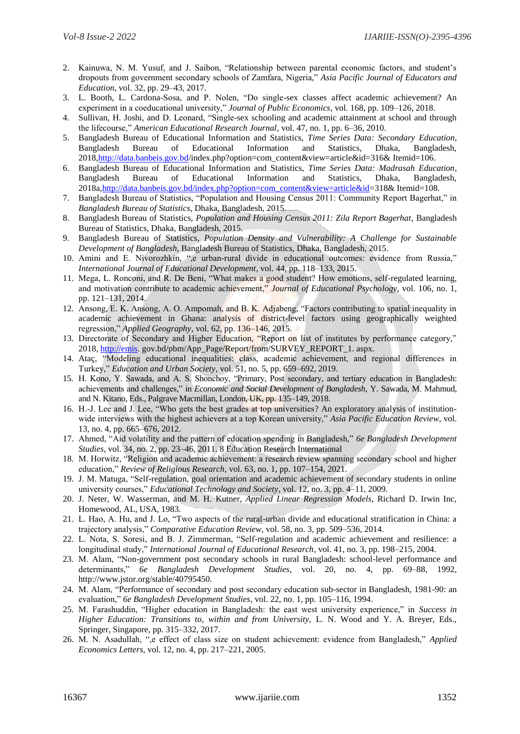- 2. Kainuwa, N. M. Yusuf, and J. Saibon, "Relationship between parental economic factors, and student's dropouts from government secondary schools of Zamfara, Nigeria," *Asia Pacific Journal of Educators and Education*, vol. 32, pp. 29–43, 2017.
- 3. L. Booth, L. Cardona-Sosa, and P. Nolen, "Do single-sex classes affect academic achievement? An experiment in a coeducational university," *Journal of Public Economics*, vol. 168, pp. 109–126, 2018.
- 4. Sullivan, H. Joshi, and D. Leonard, "Single-sex schooling and academic attainment at school and through the lifecourse," *American Educational Research Journal*, vol. 47, no. 1, pp. 6–36, 2010.
- 5. Bangladesh Bureau of Educational Information and Statistics, *Time Series Data: Secondary Education*, Bangladesh Bureau of Educational Information and Statistics, Dhaka, Bangladesh, 201[8,http://data.banbeis.gov.bd/](http://data.banbeis.gov.bd/)index.php?option=com\_content&view=article&id=316& Itemid=106.
- 6. Bangladesh Bureau of Educational Information and Statistics, *Time Series Data: Madrasah Education*, Bangladesh Bureau of Educational Information and Statistics, Dhaka, Bangladesh, 2018a[,http://data.banbeis.gov.bd/index.php?option=com\\_content&view=article&id=](http://data.banbeis.gov.bd/index.php?option=com_content&view=article&id)318& Itemid=108.
- 7. Bangladesh Bureau of Statistics, "Population and Housing Census 2011: Community Report Bagerhat," in *Bangladesh Bureau of Statistics*, Dhaka, Bangladesh, 2015.
- 8. Bangladesh Bureau of Statistics, *Population and Housing Census 2011: Zila Report Bagerhat*, Bangladesh Bureau of Statistics, Dhaka, Bangladesh, 2015.
- 9. Bangladesh Bureau of Statistics, *Population Density and Vulnerability: A Challenge for Sustainable Development of Bangladesh*, Bangladesh Bureau of Statistics, Dhaka, Bangladesh, 2015.
- 10. Amini and E. Nivorozhkin, ",e urban-rural divide in educational outcomes: evidence from Russia," *International Journal of Educational Development*, vol. 44, pp. 118–133, 2015.
- 11. Mega, L. Ronconi, and R. De Beni, "What makes a good student? How emotions, self-regulated learning, and motivation contribute to academic achievement," *Journal of Educational Psychology*, vol. 106, no. 1, pp. 121–131, 2014.
- 12. Ansong, E. K. Ansong, A. O. Ampomah, and B. K. Adjabeng, "Factors contributing to spatial inequality in academic achievement in Ghana: analysis of district-level factors using geographically weighted regression," *Applied Geography*, vol. 62, pp. 136–146, 2015.
- 13. Directorate of Secondary and Higher Education, "Report on list of institutes by performance category," 2018, [http://emis.](http://emis/) gov.bd/pbm/App\_Page/Report/from/SURVEY\_REPORT\_1. aspx.
- 14. Ataç, "Modeling educational inequalities: class, academic achievement, and regional differences in Turkey," *Education and Urban Society*, vol. 51, no. 5, pp. 659–692, 2019.
- 15. H. Kono, Y. Sawada, and A. S. Shonchoy, "Primary, Post secondary, and tertiary education in Bangladesh: achievements and challenges," in *Economic and Social Development of Bangladesh*, Y. Sawada, M. Mahmud, and N. Kitano, Eds., Palgrave Macmillan, London, UK, pp. 135–149, 2018.
- 16. H.-J. Lee and J. Lee, "Who gets the best grades at top universities? An exploratory analysis of institutionwide interviews with the highest achievers at a top Korean university," *Asia Pacific Education Review*, vol. 13, no. 4, pp. 665–676, 2012.
- 17. Ahmed, "Aid volatility and the pattern of education spending in Bangladesh," *6e Bangladesh Development Studies*, vol. 34, no. 2, pp. 23–46, 2011. 8 Education Research International
- 18. M. Horwitz, "Religion and academic achievement: a research review spanning secondary school and higher education," *Review of Religious Research*, vol. 63, no. 1, pp. 107–154, 2021.
- 19. J. M. Matuga, "Self-regulation, goal orientation and academic achievement of secondary students in online university courses," *Educational Technology and Society*, vol. 12, no. 3, pp. 4–11, 2009.
- 20. J. Neter, W. Wasserman, and M. H. Kutner, *Applied Linear Regression Models*, Richard D. Irwin Inc, Homewood, AL, USA, 1983.
- 21. L. Hao, A. Hu, and J. Lo, "Two aspects of the rural-urban divide and educational stratification in China: a trajectory analysis," *Comparative Education Review*, vol. 58, no. 3, pp. 509–536, 2014.
- 22. L. Nota, S. Soresi, and B. J. Zimmerman, "Self-regulation and academic achievement and resilience: a longitudinal study," *International Journal of Educational Research*, vol. 41, no. 3, pp. 198–215, 2004.
- 23. M. Alam, "Non-government post secondary schools in rural Bangladesh: school-level performance and determinants," *6e Bangladesh Development Studies*, vol. 20, no. 4, pp. 69–88, 1992, http://www.jstor.org/stable/40795450.
- 24. M. Alam, "Performance of secondary and post secondary education sub-sector in Bangladesh, 1981-90: an evaluation," *6e Bangladesh Development Studies*, vol. 22, no. 1, pp. 105–116, 1994.
- 25. M. Farashuddin, "Higher education in Bangladesh: the east west university experience," in *Success in Higher Education: Transitions to, within and from University*, L. N. Wood and Y. A. Breyer, Eds., Springer, Singapore, pp. 315–332, 2017.
- 26. M. N. Asadullah, ",e effect of class size on student achievement: evidence from Bangladesh," *Applied Economics Letters*, vol. 12, no. 4, pp. 217–221, 2005.